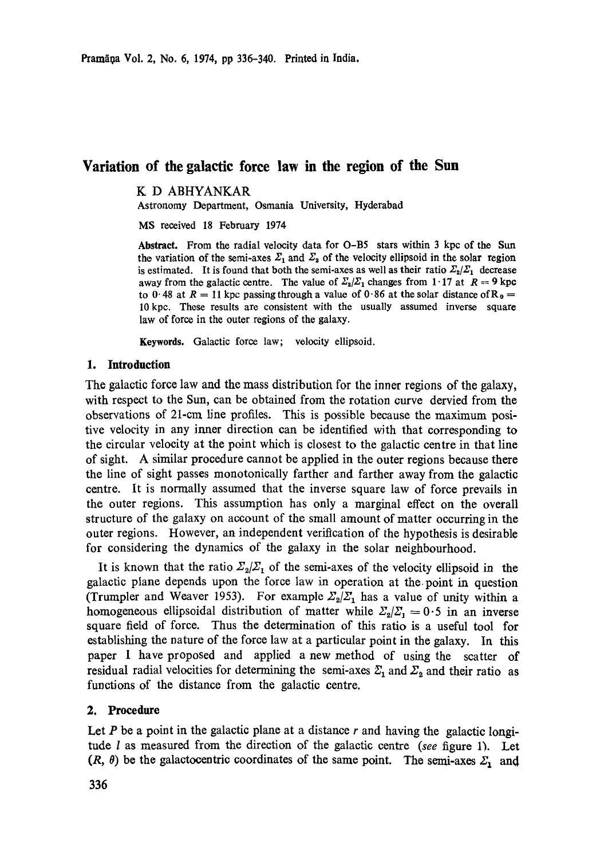# **Variation of the galactic force law in the region of the Sun**

K D ABHYANKAR.

Astronomy Department, Osmania University, Hyderabad

MS received 18 February 1974

**Abstract. From the** radial velocity data for **O-B5 stars within 3 kpc of the Sun**  the variation of the semi-axes  $\Sigma_1$  and  $\Sigma_3$  of the velocity ellipsoid in the solar region is estimated. It is found that both the semi-axes as well as their ratio  $\mathcal{Z}_2/\mathcal{Z}_1$  decrease away from the galactic centre. The value of  $\mathbb{Z}_2/\mathbb{Z}_1$  changes from 1.17 at  $R = 9$  kpc to 0.48 at  $R = 11$  kpc passing through a value of 0.86 at the solar distance of  $R_0 =$ 10 kpc. These results are consistent with the usually assumed inverse square law of force in the outer regions of the galaxy.

**Keywords.** Galactic force law; velocity ellipsoid.

#### **1. Introduction**

The galactic force law and the mass distribution for the inner regions of the galaxy, with respect to the Sun, can be obtained from the rotation curve dervied from the observations of 21-cm line profiles. This is possible because the maximum positive velocity in any inner direction can be identified with that corresponding to the circular veloeity at the point which is closest to the galactic centre in that line of sight. A similar procedure cannot be applied in the outer regions because there the line of sight passes monotonically farther and farther away from the galactic centre. It is normally assumed that the inverse square law of force prevails in the outer regions. This assumption has only a marginal effect on the overall structure of the galaxy on account of the small amount of matter occurring in the outer regions. However, an independent verification of the hypothesis is desirable for considering the dynamics of the galaxy in the solar neighbourhood.

It is known that the ratio  $\mathcal{Z}_2/\mathcal{Z}_1$  of the semi-axes of the velocity ellipsoid in the galactic plane depends upon the force law in operation at the. point in question (Trumpler and Weaver 1953). For example  $\mathcal{Z}_2/\mathcal{Z}_1$  has a value of unity within a homogeneous ellipsoidal distribution of matter while  $\Sigma_2/\Sigma_1 = 0.5$  in an inverse square field of force. Thus the determination of this ratio is a useful tool for establishing the nature of the force law at a particular point in the galaxy. In this paper I have proposed and applied a new method of using the scatter of residual radial velocities for determining the semi-axes  $\mathfrak{L}_1$  and  $\mathfrak{L}_2$  and their ratio as functions of the distance from the galactic centre.

## **2. Procedure**

Let  $P$  be a point in the galactic plane at a distance  $r$  and having the galactic longitude l as measured from the direction of the galactic centre *(see* figure 1). Let  $(R, \theta)$  be the galactocentric coordinates of the same point. The semi-axes  $\Sigma_1$  and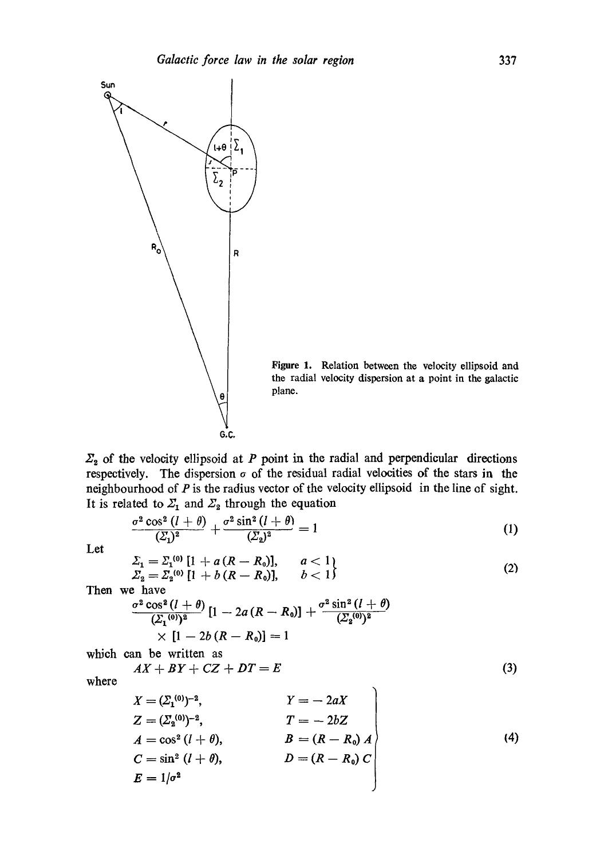

Figure 1. Relation between the velocity ellipsoid and the radial velocity dispersion at a point in the galactic

 $\Sigma_{2}$  of the velocity ellipsoid at P point in the radial and perpendicular directions respectively. The dispersion  $\sigma$  of the residual radial velocities of the stars in the neighbourhood of  $P$  is the radius vector of the velocity ellipsoid in the line of sight. It is related to  $\Sigma_1$  and  $\Sigma_2$  through the equation

$$
\frac{\sigma^2 \cos^2 \left(l+\theta\right)}{(\Sigma_1)^2} + \frac{\sigma^2 \sin^2 \left(l+\theta\right)}{(\Sigma_2)^2} = 1 \tag{1}
$$

Let

$$
\Sigma_1 = \Sigma_1^{(0)} [1 + a (R - R_0)], \qquad a < 1
$$
  
\n
$$
\Sigma_2 = \Sigma_2^{(0)} [1 + b (R - R_0)], \qquad b < 1
$$
\n(2)

Then we have

$$
\frac{\sigma^2 \cos^2 (l + \theta)}{(\Sigma_1^{(0)})^2} [1 - 2a (R - R_0)] + \frac{\sigma^2 \sin^2 (l + \theta)}{(\Sigma_2^{(0)})^2} \times [1 - 2b (R - R_0)] = 1
$$

which can be written as

$$
AX + BY + CZ + DT = E \tag{3}
$$

where

$$
X = (Z_1^{(0)})^{-2}, \t\t Y = -2aX
$$
  
\n
$$
Z = (Z_2^{(0)})^{-2}, \t\t T = -2bZ
$$
  
\n
$$
A = \cos^2 (l + \theta), \t\t B = (R - R_0) A
$$
  
\n
$$
C = \sin^2 (l + \theta), \t\t D = (R - R_0) C
$$
  
\n
$$
E = 1/\sigma^2
$$
\n(4)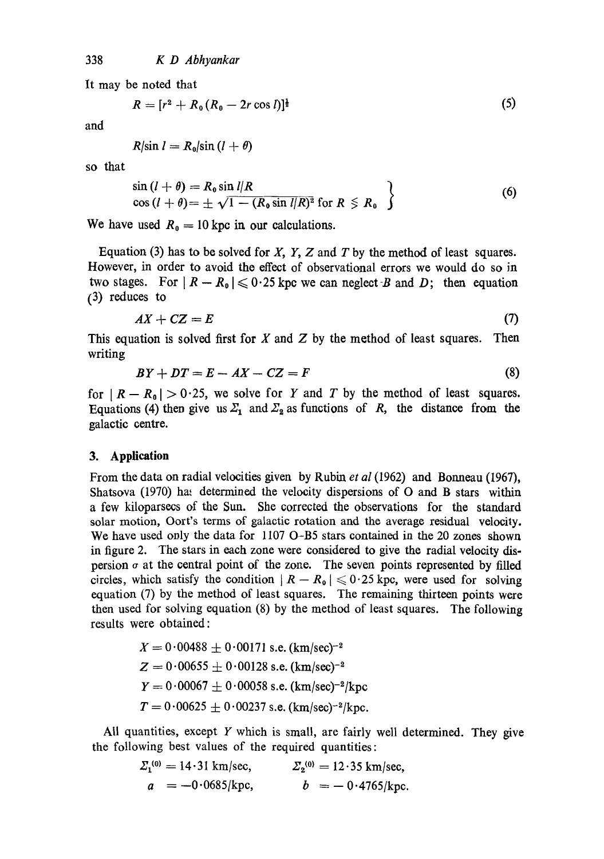It may be noted that

$$
R = [r^2 + R_0 (R_0 - 2r \cos l)]^{\frac{1}{2}}
$$
 (5)

and

$$
R/\sin l = R_0/\sin (l + \theta)
$$

so that

$$
\sin (l + \theta) = R_0 \sin l/R
$$
  
\n
$$
\cos (l + \theta) = \pm \sqrt{1 - (R_0 \sin l/R)^2} \text{ for } R \le R_0
$$
 (6)

We have used  $R_0 = 10$  kpc in our calculations.

Equation (3) has to be solved for  $X$ ,  $Y$ ,  $Z$  and  $T$  by the method of least squares. However, in order to avoid the effect of observational errors we would do so in two stages. For  $|R - R_0| \leq 0.25$  kpc we can neglect B and D; then equation (3) reduces to

$$
AX + CZ = E \tag{7}
$$

This equation is solved first for  $X$  and  $Z$  by the method of least squares. Then writing

$$
BY + DT = E - AX - CZ = F \tag{8}
$$

for  $|R - R_0| > 0.25$ , we solve for Y and T by the method of least squares. Equations (4) then give us  $\mathcal{Z}_1$  and  $\mathcal{Z}_2$  as functions of R, the distance from the galactic centre.

### **3. Application**

From the data on radial velocities given by Rubin *et al* (1962) and Bonneau (1967), Shatsova (1970) has determined the velocity dispersions of O and B stars within a few kiloparsecs of the Sun. She corrected the observations for the standard solar motion, Oort's terms of galactic rotation and the average residual velocity. We have used only the data for 1107 O-B5 stars contained in the 20 zones shown in figure 2. The stars in each zone were considered to give the radial velocity dispersion  $\sigma$  at the central point of the zone. The seven points represented by filled circles, which satisfy the condition  $|R - R_0| \leq 0.25$  kpc, were used for solving equation (7) by the method of least squares. The remaining thirteen points were then used for solving equation (8) by the method of least squares. The following results were obtained:

$$
X = 0.00488 \pm 0.00171 \text{ s.e. } (\text{km/sec})^{-2}
$$
  
\n
$$
Z = 0.00655 \pm 0.00128 \text{ s.e. } (\text{km/sec})^{-2}
$$
  
\n
$$
Y = 0.00067 \pm 0.00058 \text{ s.e. } (\text{km/sec})^{-2}/\text{kpc}
$$
  
\n
$$
T = 0.00625 \pm 0.00237 \text{ s.e. } (\text{km/sec})^{-2}/\text{kpc}.
$$

All quantities, except  $Y$  which is small, are fairly well determined. They give the following best values of the required quantities:

$$
\Sigma_1^{(0)} = 14.31 \text{ km/sec},
$$
  $\Sigma_2^{(0)} = 12.35 \text{ km/sec},$   
 $a = -0.0685/\text{kpc},$   $b = -0.4765/\text{kpc}.$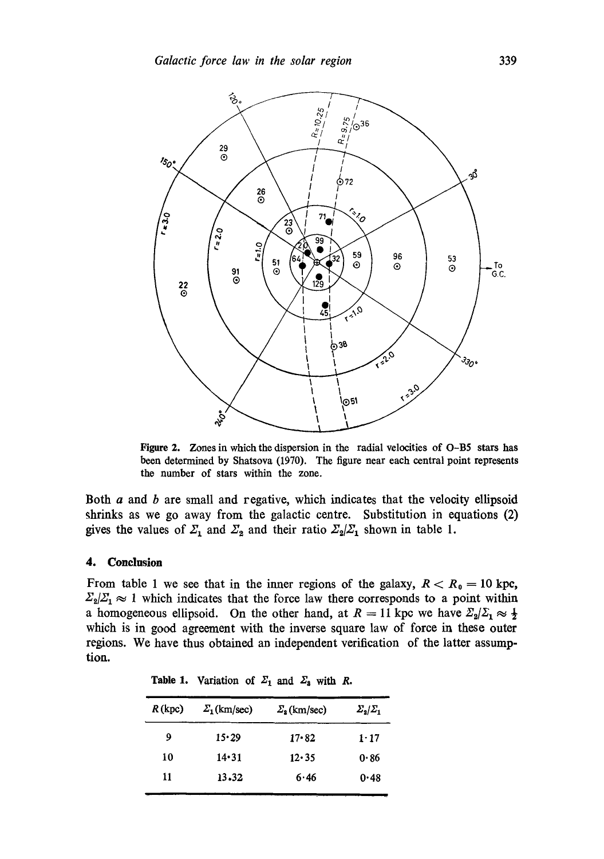

Figure 2. Zones in which the dispersion in the radial velocities of O-B5 stars has been determined by Shatsova (1970). The figure near each central point represents the number of stars within the zone.

Both  $a$  and  $b$  are small and regative, which indicates that the velocity ellipsoid shrinks as we go away from the galactic centre. Substitution in equations (2) gives the values of  $\mathcal{Z}_1$  and  $\mathcal{Z}_2$  and their ratio  $\mathcal{Z}_2/\mathcal{Z}_1$  shown in table 1.

#### 4. **Conclusion**

From table 1 we see that in the inner regions of the galaxy,  $R < R_0 = 10$  kpc,  $\Sigma_2/\Sigma_1 \approx 1$  which indicates that the force law there corresponds to a point within a homogeneous ellipsoid. On the other hand, at  $R = 11$  kpc we have  $\mathbb{Z}_{2}/\mathbb{Z}_{1} \approx \frac{1}{2}$ which is in good agreement with the inverse square law of force in these outer regions. We have thus obtained an independent verification of the latter assumption.

| R(kpc) | $\Sigma_1$ (km/sec) | $\Sigma_{2}$ (km/sec) | $\sum_{2} \sum_{1}$ |
|--------|---------------------|-----------------------|---------------------|
| 9      | 15.29               | $17 - 82$             | $1 - 17$            |
| 10     | $14 - 31$           | 12.35                 | 0.86                |
| 11     | 13.32               | 6.46                  | 0.48                |
|        |                     |                       |                     |

Table 1. Variation of  $\Sigma_1$  and  $\Sigma_3$  with R.